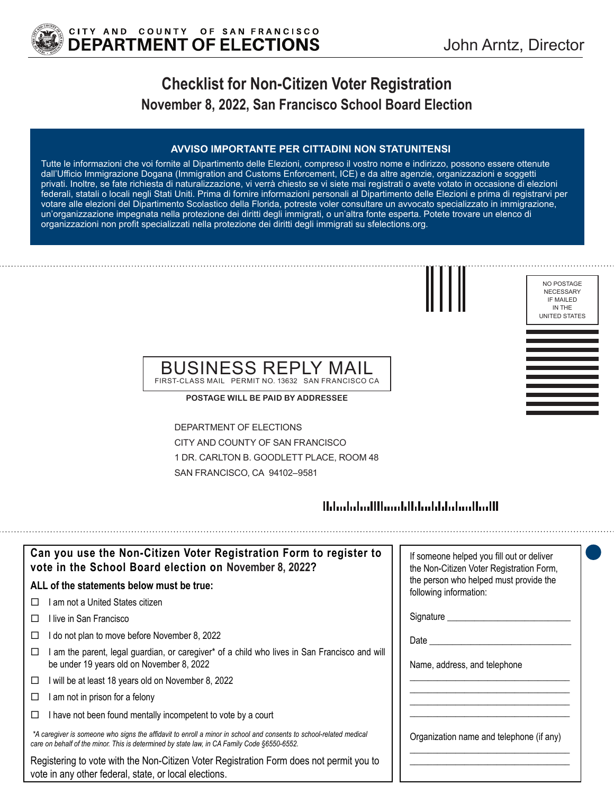

NO POSTAGE NECESSARY IF MAILED IN THE UNITED STATES

# **Checklist for Non-Citizen Voter Registration November 8, 2022, San Francisco School Board Election**

#### **AVVISO IMPORTANTE PER CITTADINI NON STATUNITENSI**

Tutte le informazioni che voi fornite al Dipartimento delle Elezioni, compreso il vostro nome e indirizzo, possono essere ottenute dall'Ufficio Immigrazione Dogana (Immigration and Customs Enforcement, ICE) e da altre agenzie, organizzazioni e soggetti privati. Inoltre, se fate richiesta di naturalizzazione, vi verrà chiesto se vi siete mai registrati o avete votato in occasione di elezioni federali, statali o locali negli Stati Uniti. Prima di fornire informazioni personali al Dipartimento delle Elezioni e prima di registrarvi per votare alle elezioni del Dipartimento Scolastico della Florida, potreste voler consultare un avvocato specializzato in immigrazione, un'organizzazione impegnata nella protezione dei diritti degli immigrati, o un'altra fonte esperta. Potete trovare un elenco di organizzazioni non profit specializzati nella protezione dei diritti degli immigrati su sfelections.org.





FIRST-CLASS MAIL PERMIT NO. 13632 SAN FRANCISCO CA

**POSTAGE WILL BE PAID BY ADDRESSEE**

DEPARTMENT OF ELECTIONS CITY AND COUNTY OF SAN FRANCISCO 1 DR. CARLTON B. GOODLETT PLACE, ROOM 48 SAN FRANCISCO, CA 94102–9581

## 

| Can you use the Non-Citizen Voter Registration Form to register to<br>vote in the School Board election on November 8, 2022?                                                                                      | If someone helped you fill out or deliver<br>the Non-Citizen Voter Registration Form, |
|-------------------------------------------------------------------------------------------------------------------------------------------------------------------------------------------------------------------|---------------------------------------------------------------------------------------|
| ALL of the statements below must be true:                                                                                                                                                                         | the person who helped must provide the<br>following information:                      |
| am not a United States citizen                                                                                                                                                                                    |                                                                                       |
| ⊟live in San Francisco                                                                                                                                                                                            | Signature _________                                                                   |
| I do not plan to move before November 8, 2022<br>⊔                                                                                                                                                                | Date                                                                                  |
| am the parent, legal guardian, or caregiver* of a child who lives in San Francisco and will<br>be under 19 years old on November 8, 2022                                                                          | Name, address, and telephone                                                          |
| will be at least 18 years old on November 8, 2022<br>□                                                                                                                                                            |                                                                                       |
| am not in prison for a felony<br>□                                                                                                                                                                                |                                                                                       |
| I have not been found mentally incompetent to vote by a court                                                                                                                                                     |                                                                                       |
| *A caregiver is someone who signs the affidavit to enroll a minor in school and consents to school-related medical<br>care on behalf of the minor. This is determined by state law, in CA Family Code §6550-6552. | Organization name and telephone (if any)                                              |
| Registering to vote with the Non-Citizen Voter Registration Form does not permit you to<br>vote in any other federal, state, or local elections.                                                                  |                                                                                       |